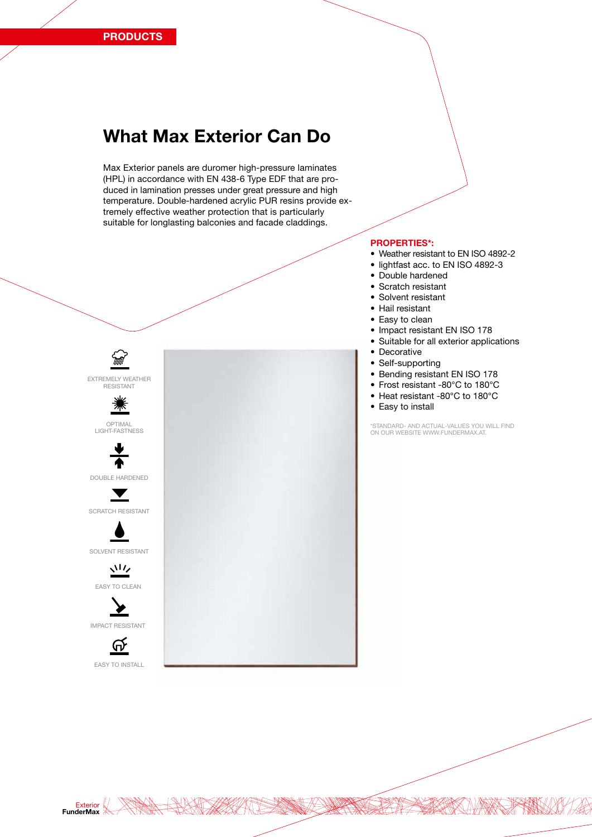# What Max Exterior Can Do

Max Exterior panels are duromer high-pressure laminates (HPL) in accordance with EN 438-6 Type EDF that are produced in lamination presses under great pressure and high temperature. Double-hardened acrylic PUR resins provide extremely effective weather protection that is particularly suitable for longlasting balconies and facade claddings.



#### PROPERTIES\*:

- Weather resistant to EN ISO 4892-2
- lightfast acc. to EN ISO 4892-3
- Double hardened
- Scratch resistant
- Solvent resistant
- Hail resistant
- Easy to clean
- Impact resistant EN ISO 178
- Suitable for all exterior applications
- Decorative
- Self-supporting
- Bending resistant EN ISO 178
- Frost resistant -80°C to 180°C
- Heat resistant -80°C to 180°C
- Easy to install

\*STANDARD- AND ACTUAL-VALUES YOU WILL FIND ON OUR WEBSITE WWW.FUNDERMAX.AT.

Exterior FunderMax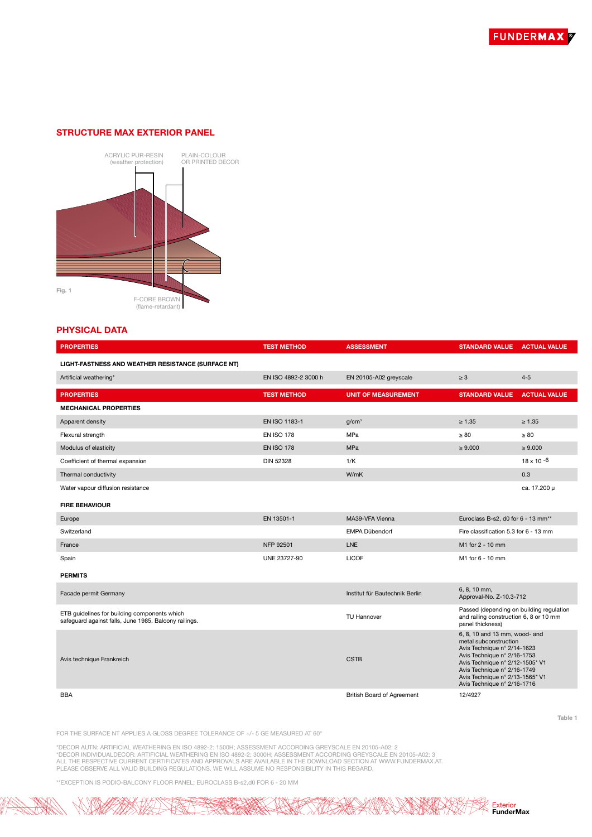# STRUCTURE MAX EXTERIOR PANEL



# PHYSICAL DATA

| <b>PROPERTIES</b>                                                                                     | <b>TEST METHOD</b>   | <b>ASSESSMENT</b>              | <b>STANDARD VALUE</b>                                                                                                                                                                                                                                    | <b>ACTUAL VALUE</b> |
|-------------------------------------------------------------------------------------------------------|----------------------|--------------------------------|----------------------------------------------------------------------------------------------------------------------------------------------------------------------------------------------------------------------------------------------------------|---------------------|
| LIGHT-FASTNESS AND WEATHER RESISTANCE (SURFACE NT)                                                    |                      |                                |                                                                                                                                                                                                                                                          |                     |
| Artificial weathering*                                                                                | EN ISO 4892-2 3000 h | EN 20105-A02 greyscale         | $\geq 3$                                                                                                                                                                                                                                                 | $4 - 5$             |
| <b>PROPERTIES</b>                                                                                     | <b>TEST METHOD</b>   | <b>UNIT OF MEASUREMENT</b>     | <b>STANDARD VALUE</b>                                                                                                                                                                                                                                    | <b>ACTUAL VALUE</b> |
| <b>MECHANICAL PROPERTIES</b>                                                                          |                      |                                |                                                                                                                                                                                                                                                          |                     |
| Apparent density                                                                                      | EN ISO 1183-1        | q/cm <sup>3</sup>              | $\geq 1.35$                                                                                                                                                                                                                                              | $\geq 1.35$         |
| Flexural strength                                                                                     | <b>EN ISO 178</b>    | MPa                            | $\geq 80$                                                                                                                                                                                                                                                | $\geq 80$           |
| Modulus of elasticity                                                                                 | <b>EN ISO 178</b>    | <b>MPa</b>                     | $\geq 9.000$                                                                                                                                                                                                                                             | $\geq 9.000$        |
| Coefficient of thermal expansion                                                                      | <b>DIN 52328</b>     | 1/K                            |                                                                                                                                                                                                                                                          | $18 \times 10^{-6}$ |
| Thermal conductivity                                                                                  |                      | W/mK                           |                                                                                                                                                                                                                                                          | 0.3                 |
| Water vapour diffusion resistance                                                                     |                      |                                |                                                                                                                                                                                                                                                          | ca. 17.200 µ        |
| <b>FIRE BEHAVIOUR</b>                                                                                 |                      |                                |                                                                                                                                                                                                                                                          |                     |
| Europe                                                                                                | EN 13501-1           | MA39-VFA Vienna                | Euroclass B-s2, d0 for 6 - 13 mm <sup>**</sup>                                                                                                                                                                                                           |                     |
| Switzerland                                                                                           |                      | EMPA Dübendorf                 | Fire classification 5.3 for 6 - 13 mm                                                                                                                                                                                                                    |                     |
| France                                                                                                | NFP 92501            | <b>LNE</b>                     | M1 for 2 - 10 mm                                                                                                                                                                                                                                         |                     |
| Spain                                                                                                 | UNE 23727-90         | <b>LICOF</b>                   | M1 for 6 - 10 mm                                                                                                                                                                                                                                         |                     |
| <b>PERMITS</b>                                                                                        |                      |                                |                                                                                                                                                                                                                                                          |                     |
| Facade permit Germany                                                                                 |                      | Institut für Bautechnik Berlin | 6, 8, 10 mm,<br>Approval-No. Z-10.3-712                                                                                                                                                                                                                  |                     |
| ETB quidelines for building components which<br>safequard against falls, June 1985. Balcony railings. |                      | <b>TU Hannover</b>             | Passed (depending on building regulation<br>and railing construction 6, 8 or 10 mm<br>panel thickness)                                                                                                                                                   |                     |
| Avis technique Frankreich                                                                             |                      | <b>CSTB</b>                    | 6, 8, 10 and 13 mm, wood- and<br>metal subconstruction<br>Avis Technique n° 2/14-1623<br>Avis Technique n° 2/16-1753<br>Avis Technique n° 2/12-1505* V1<br>Avis Technique n° 2/16-1749<br>Avis Technique n° 2/13-1565* V1<br>Avis Technique n° 2/16-1716 |                     |
| <b>BBA</b>                                                                                            |                      | British Board of Agreement     | 12/4927                                                                                                                                                                                                                                                  |                     |

FOR THE SURFACE NT APPLIES A GLOSS DEGREE TOLERANCE OF +/- 5 GE MEASURED AT 60°

\*DECOR AUTN: ARTIFICIAL WEATHERING EN ISO 4892-2: 1500H; ASSESSMENT ACCORDING GREYSCALE EN 20105-A02: 2<br>\*DECOR INDIVIDUALDECOR: ARTIFICIAL WEATHERING EN ISO 4892-2: 3000H; ASSESSMENT ACCORDING GREYSCALE EN 20105-A02: 3<br>ALL

\*\*EXCEPTION IS PODIO-BALCONY FLOOR PANEL; EUROCLASS B-s2,d0 FOR 6 - 20 MM



Table 1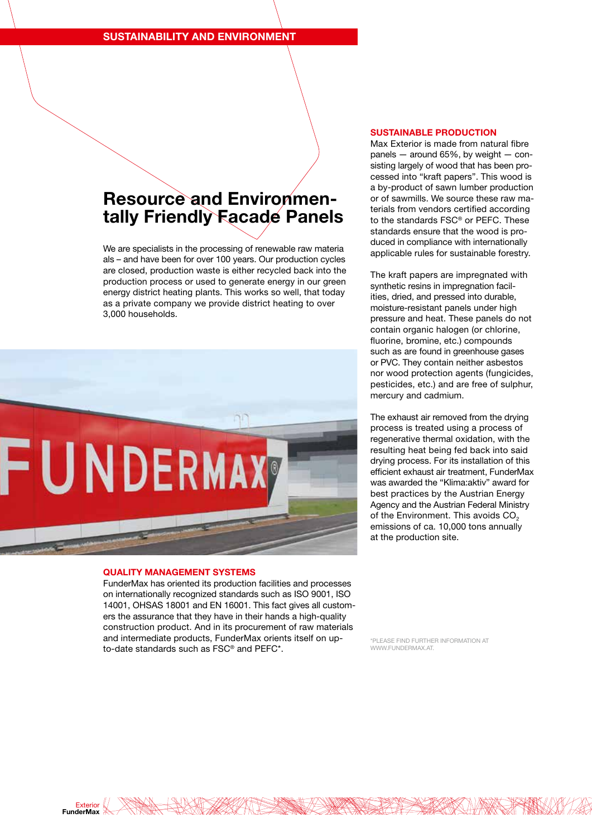# Resource and Environmen-<br>tally Friendly Facade Panels

We are specialists in the processing of renewable raw materia als – and have been for over 100 years. Our production cycles are closed, production waste is either recycled back into the production process or used to generate energy in our green energy district heating plants. This works so well, that today as a private company we provide district heating to over 3,000 households.



## QUALITY MANAGEMENT SYSTEMS

FunderMax has oriented its production facilities and processes on internationally recognized standards such as ISO 9001, ISO 14001, OHSAS 18001 and EN 16001. This fact gives all customers the assurance that they have in their hands a high-quality construction product. And in its procurement of raw materials and intermediate products, FunderMax orients itself on upto-date standards such as FSC® and PEFC\*.

#### SUSTAINABLE PRODUCTION

Max Exterior is made from natural fibre panels — around 65%, by weight — consisting largely of wood that has been processed into "kraft papers". This wood is a by-product of sawn lumber production or of sawmills. We source these raw materials from vendors certified according to the standards FSC® or PEFC. These standards ensure that the wood is produced in compliance with internationally applicable rules for sustainable forestry.

The kraft papers are impregnated with synthetic resins in impregnation facilities, dried, and pressed into durable, moisture-resistant panels under high pressure and heat. These panels do not contain organic halogen (or chlorine, fluorine, bromine, etc.) compounds such as are found in greenhouse gases or PVC. They contain neither asbestos nor wood protection agents (fungicides, pesticides, etc.) and are free of sulphur, mercury and cadmium.

The exhaust air removed from the drying process is treated using a process of regenerative thermal oxidation, with the resulting heat being fed back into said drying process. For its installation of this efficient exhaust air treatment, FunderMax was awarded the "Klima:aktiv" award for best practices by the Austrian Energy Agency and the Austrian Federal Ministry of the Environment. This avoids  $CO<sub>2</sub>$ emissions of ca. 10,000 tons annually at the production site.

\*PLEASE FIND FURTHER INFORMATION AT WWW.FUNDERMAX.AT.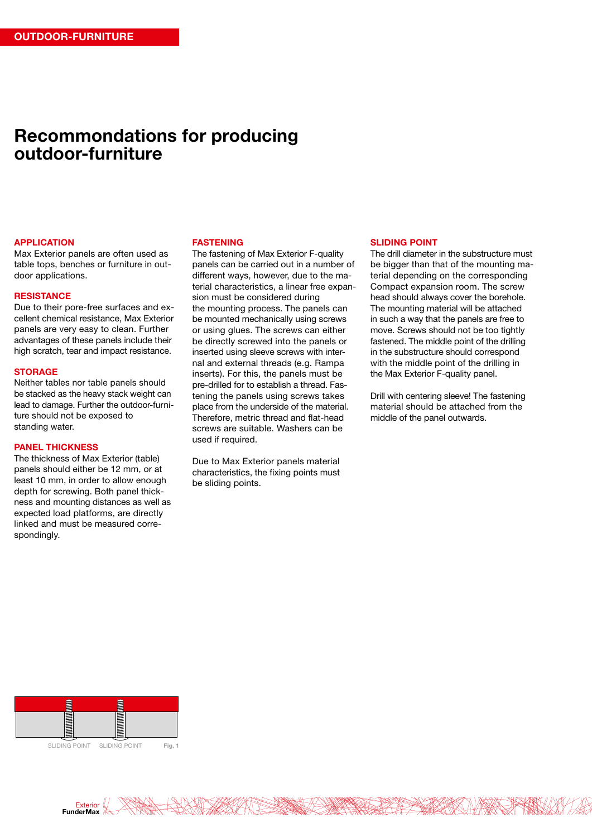# Recommondations for producing outdoor-furniture

#### APPLICATION

Max Exterior panels are often used as table tops, benches or furniture in outdoor applications.

#### **RESISTANCE**

Due to their pore-free surfaces and excellent chemical resistance, Max Exterior panels are very easy to clean. Further advantages of these panels include their high scratch, tear and impact resistance.

#### **STORAGE**

Neither tables nor table panels should be stacked as the heavy stack weight can lead to damage. Further the outdoor-furniture should not be exposed to standing water.

## PANEL THICKNESS

The thickness of Max Exterior (table) panels should either be 12 mm, or at least 10 mm, in order to allow enough depth for screwing. Both panel thickness and mounting distances as well as expected load platforms, are directly linked and must be measured correspondingly.

#### FASTENING

The fastening of Max Exterior F-quality panels can be carried out in a number of different ways, however, due to the material characteristics, a linear free expansion must be considered during the mounting process. The panels can be mounted mechanically using screws or using glues. The screws can either be directly screwed into the panels or inserted using sleeve screws with internal and external threads (e.g. Rampa inserts). For this, the panels must be pre-drilled for to establish a thread. Fastening the panels using screws takes place from the underside of the material. Therefore, metric thread and flat-head screws are suitable. Washers can be used if required.

Due to Max Exterior panels material characteristics, the fixing points must be sliding points.

## SLIDING POINT

The drill diameter in the substructure must be bigger than that of the mounting material depending on the corresponding Compact expansion room. The screw head should always cover the borehole. The mounting material will be attached in such a way that the panels are free to move. Screws should not be too tightly fastened. The middle point of the drilling in the substructure should correspond with the middle point of the drilling in the Max Exterior F-quality panel.

Drill with centering sleeve! The fastening material should be attached from the middle of the panel outwards.



Exterior FunderMax